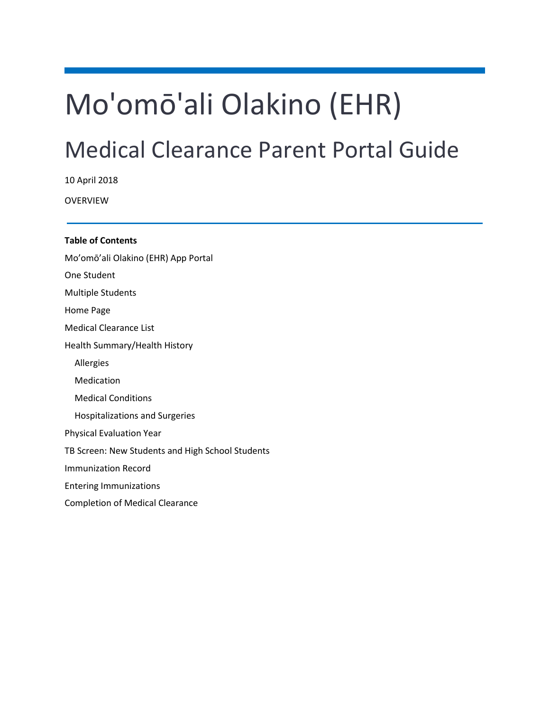# Mo'omō'ali Olakino (EHR)

# Medical Clearance Parent Portal Guide

10 April 2018

OVERVIEW

**Table of Contents** [Mo'omō'ali Olakino \(EHR\) App Portal](#page-1-0) [One Student](#page-1-1) [Multiple Students](#page-1-2) [Home Page](#page-1-3) [Medical Clearance List](#page-2-0) [Health Summary/Health History](#page-2-1) [Allergies](#page-2-2) [Medication](#page-3-0) [Medical Conditions](#page-3-1) [Hospitalizations and Surgeries](#page-3-2) [Physical Evaluation Year](#page-4-0) [TB Screen: New Students and High School Students](#page-5-0) Immunization Record

[Entering Immunizations](#page-5-1)

[Completion of Medical Clearance](#page-6-0)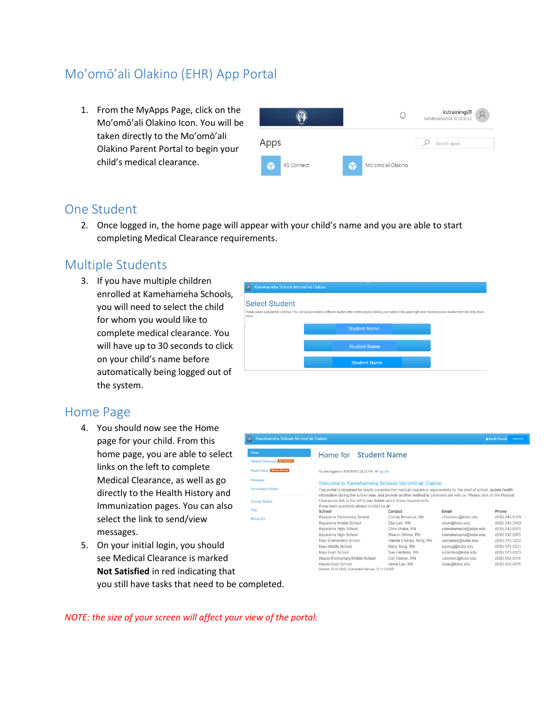# <span id="page-1-0"></span>Mo'omō'ali Olakino (EHR) App Portal

1. From the MyApps Page, click on the Mo'omō'ali Olakino Icon. You will be taken directly to the Mo'omō'ali Olakino Parent Portal to begin your child's medical clearance.



### <span id="page-1-1"></span>One Student

2. Once logged in, the home page will appear with your child's name and you are able to start completing Medical Clearance requirements.

## <span id="page-1-2"></span>Multiple Students

3. If you have multiple children enrolled at Kamehameha Schools, you will need to select the child for whom you would like to complete medical clearance. You will have up to 30 seconds to click on your child's name before automatically being logged out of the system.



### <span id="page-1-3"></span>Home Page

- 4. You should now see the Home page for your child. From this home page, you are able to select links on the left to complete Medical Clearance, as well as go directly to the Health History and Immunization pages. You can also select the link to send/view messages.
- 5. On your initial login, you should see Medical Clearance is marked **Not Satisfied** in red indicating that you still have tasks that need to be completed.



*NOTE: the size of your screen will affect your view of the portal.*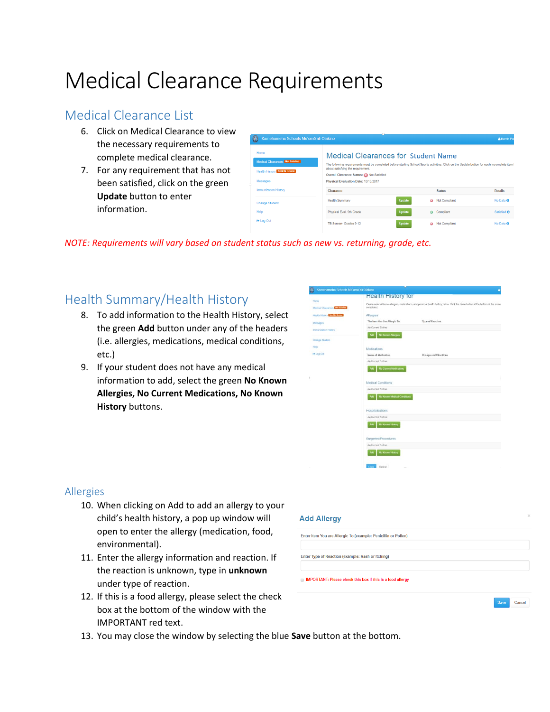# Medical Clearance Requirements

# <span id="page-2-0"></span>Medical Clearance List

- 6. Click on Medical Clearance to view the necessary requirements to complete medical clearance.
- 7. For any requirement that has not been satisfied, click on the green **Update** button to enter information.

| ω | Kamehameha Schools Mo'omō'ali Olakino                                                         |                                                                                                                                                                                                                                                                                                                      |               |           |               | & Kerith Po    |
|---|-----------------------------------------------------------------------------------------------|----------------------------------------------------------------------------------------------------------------------------------------------------------------------------------------------------------------------------------------------------------------------------------------------------------------------|---------------|-----------|---------------|----------------|
|   | Home<br>Medical Clearances Not Satisfied<br><b>Health History Reed to Review.</b><br>Messages | <b>Medical Clearances for Student Name</b><br>The following requirements must be completed before starting School/Sports activities. Click on the Update button for each incomplete item !<br>about satisfying the requirement.<br>Overall Clearance Status: 8 Not Satisfied<br>Physical Evaluation Date: 10/13/2017 |               |           |               |                |
|   | <b>Immunization History</b>                                                                   | Clearance                                                                                                                                                                                                                                                                                                            |               |           | <b>Status</b> | <b>Details</b> |
|   | <b>Change Student</b>                                                                         | <b>Health Summary</b>                                                                                                                                                                                                                                                                                                | Update        | $\bullet$ | Not Compliant | No Data @      |
|   | Help                                                                                          | Physical Eval. 9th Grade                                                                                                                                                                                                                                                                                             | <b>Update</b> |           | Compliant     | Satisfied ®    |
|   | <sup>(→</sup> Log Out                                                                         | TB Screen- Grades 9-12                                                                                                                                                                                                                                                                                               | Update        |           | Not Compliant | No Data ®      |

<span id="page-2-1"></span>*NOTE: Requirements will vary based on student status such as new vs. returning, grade, etc.*

## Health Summary/Health History

- 8. To add information to the Health History, select the green **Add** button under any of the headers (i.e. allergies, medications, medical conditions, etc.)
- <span id="page-2-2"></span>9. If your student does not have any medical information to add, select the green **No Known Allergies, No Current Medications, No Known History** buttons.



Cancel

### Allergies

- 10. When clicking on Add to add an allergy to your child's health history, a pop up window will open to enter the allergy (medication, food, environmental).
- 11. Enter the allergy information and reaction. If the reaction is unknown, type in **unknown** under type of reaction.
- 12. If this is a food allergy, please select the check box at the bottom of the window with the IMPORTANT red text.
- 13. You may close the window by selecting the blue **Save** button at the bottom.

### **Add Allergy**

Enter Item You are Allergic To (example: Penicillin or Pollen)

Enter Type of Reaction (example: Rash or Itching)

IMPORTANT: Please check this box if this is a food allergy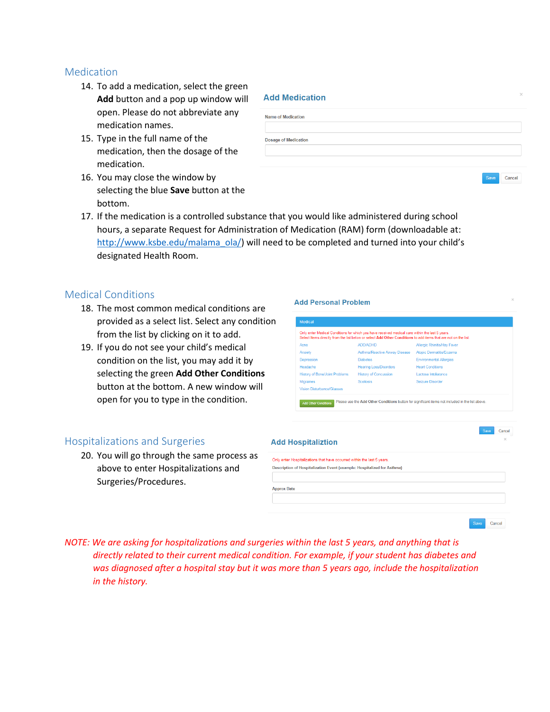### <span id="page-3-0"></span>Medication

- 14. To add a medication, select the green **Add** button and a pop up window will open. Please do not abbreviate any medication names.
- 15. Type in the full name of the medication, then the dosage of the medication.
- 16. You may close the window by selecting the blue **Save** button at the bottom.

| <b>Add Medication</b>       | $\times$ |
|-----------------------------|----------|
| <b>Name of Medication</b>   |          |
| <b>Dosage of Medication</b> |          |
|                             |          |
|                             |          |

Cancel

Cancel

17. If the medication is a controlled substance that you would like administered during school hours, a separate Request for Administration of Medication (RAM) form (downloadable at: [http://www.ksbe.edu/malama\\_ola/\)](http://www.ksbe.edu/malama_ola/) will need to be completed and turned into your child's designated Health Room.

### <span id="page-3-1"></span>Medical Conditions

- 18. The most common medical conditions are provided as a select list. Select any condition from the list by clicking on it to add.
- 19. If you do not see your child's medical condition on the list, you may add it by selecting the green **Add Other Conditions** button at the bottom. A new window will open for you to type in the condition.

### <span id="page-3-2"></span>Hospitalizations and Surgeries

20. You will go through the same process as above to enter Hospitalizations and Surgeries/Procedures.

|                                                                         | Save<br>Cancel |
|-------------------------------------------------------------------------|----------------|
| <b>Add Hospitaliztion</b>                                               | $\times$       |
| Only enter Hospitalizations that have occurred within the last 5 years. |                |
| Description of Hospitalization Event (example: Hospitalized for Asthma) |                |
| <b>Approx Date</b>                                                      |                |
|                                                                         |                |
|                                                                         |                |

*NOTE: We are asking for hospitalizations and surgeries within the last 5 years, and anything that is directly related to their current medical condition. For example, if your student has diabetes and was diagnosed after a hospital stay but it was more than 5 years ago, include the hospitalization in the history.*

### **Add Personal Problem**

| Acne                                  | <b>ADD/ADHD</b>                | <b>Allergic Rhinitis/Hay Fever</b> |
|---------------------------------------|--------------------------------|------------------------------------|
| Anxiety                               | Asthma/Reactive Airway Disease | <b>Atopic Dermatitis/Eczema</b>    |
| Depression                            | <b>Diabetes</b>                | <b>Environmental Allergies</b>     |
| Headache                              | <b>Hearing Loss/Disorders</b>  | <b>Heart Conditions</b>            |
| <b>History of Bone/Joint Problems</b> | <b>History of Concussion</b>   | Lactose Intolerance                |
| <b>Migraines</b>                      | Scoliosis                      | Seizure Disorder                   |
| Vision Disturbance/Glasses            |                                |                                    |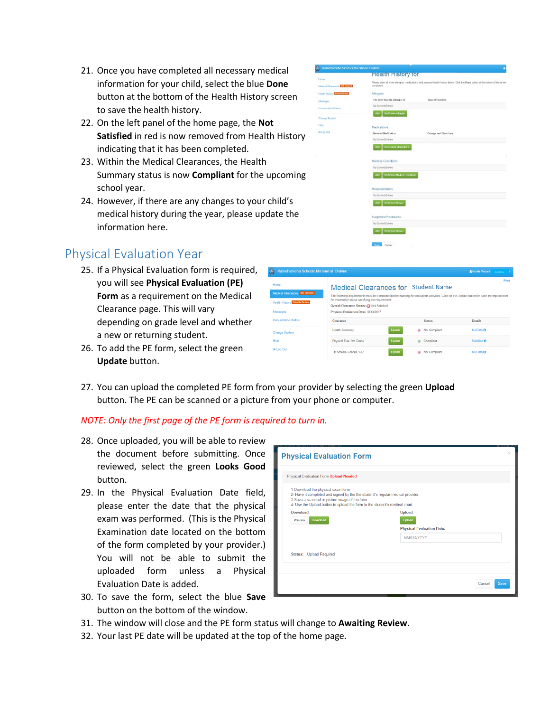- 21. Once you have completed all necessary medical information for your child, select the blue **Done** button at the bottom of the Health History screen to save the health history.
- 22. On the left panel of the home page, the **Not Satisfied** in red is now removed from Health History indicating that it has been completed.
- 23. Within the Medical Clearances, the Health Summary status is now **Compliant** for the upcoming school year.
- 24. However, if there are any changes to your child's medical history during the year, please update the information here.

### <span id="page-4-0"></span>Physical Evaluation Year

- 25. If a Physical Evaluation form is required, you will see **Physical Evaluation (PE) Form** as a requirement on the Medical Clearance page. This will vary depending on grade level and whether a new or returning student.
- 26. To add the PE form, select the green **Update** button.



Add No Known History

27. You can upload the completed PE form from your provider by selecting the green **Upload** button. The PE can be scanned or a picture from your phone or computer.

### *NOTE: Only the first page of the PE form is required to turn in.*

- 28. Once uploaded, you will be able to review the document before submitting. Once reviewed, select the green **Looks Good** button.
- 29. In the Physical Evaluation Date field, please enter the date that the physical exam was performed. (This is the Physical Examination date located on the bottom of the form completed by your provider.) You will not be able to submit the uploaded form unless a Physical Evaluation Date is added.
- 30. To save the form, select the blue **Save** button on the bottom of the window.

| Physical Evaluation Form Upload Needed                                                                                                                                                                                                                |                                  |
|-------------------------------------------------------------------------------------------------------------------------------------------------------------------------------------------------------------------------------------------------------|----------------------------------|
| 1-Download the physical exam form.<br>2- Have it completed and signed by the the student"s regular medical provider.<br>3-Save a scanned or picture image of the form.<br>4- Use the Upload button to upload the form to the student's medical chart. |                                  |
| Download                                                                                                                                                                                                                                              | <b>Upload</b>                    |
| Download<br>Preview                                                                                                                                                                                                                                   | <b>Upload</b>                    |
|                                                                                                                                                                                                                                                       | <b>Physical Evaluation Date:</b> |
|                                                                                                                                                                                                                                                       | <b>MM/DD/YYYY</b>                |
| Status: Upload Required                                                                                                                                                                                                                               |                                  |
|                                                                                                                                                                                                                                                       |                                  |

- 31. The window will close and the PE form status will change to **Awaiting Review**.
- 32. Your last PE date will be updated at the top of the home page.

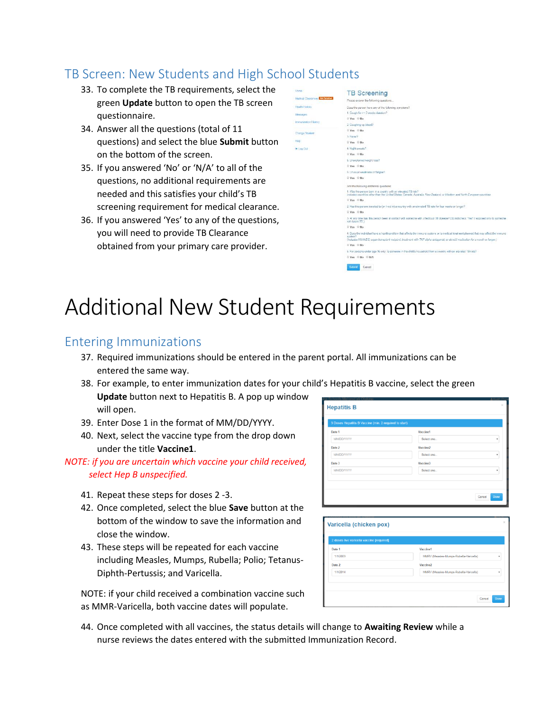# <span id="page-5-0"></span>TB Screen: New Students and High School Students

- 33. To complete the TB requirements, select the green **Update** button to open the TB screen questionnaire.
- 34. Answer all the questions (total of 11 questions) and select the blue **Submit** button on the bottom of the screen.
- 35. If you answered 'No' or 'N/A' to all of the questions, no additional requirements are needed and this satisfies your child's TB screening requirement for medical clearance.
- 36. If you answered 'Yes' to any of the questions, you will need to provide TB Clearance obtained from your primary care provider.

| ĸ                        | <b>TB Screening</b>                                                                                                                                                                                                                                                                      |
|--------------------------|------------------------------------------------------------------------------------------------------------------------------------------------------------------------------------------------------------------------------------------------------------------------------------------|
| cal Clearances Mr smiled | Please arawer the following questions                                                                                                                                                                                                                                                    |
| th History               | Does the person have any of the following symptoms?                                                                                                                                                                                                                                      |
| cores                    | 1. Cough for >= 3 weeks duration?                                                                                                                                                                                                                                                        |
| inization Hastony        | Yes Who                                                                                                                                                                                                                                                                                  |
|                          | 2. Coughing up blood?                                                                                                                                                                                                                                                                    |
| spo Student              | <sup>■</sup> Yes <sup>◎</sup> No                                                                                                                                                                                                                                                         |
|                          | 3 Fayer?                                                                                                                                                                                                                                                                                 |
|                          | © Yes © No                                                                                                                                                                                                                                                                               |
| ig Clut                  | 4. Night sweats?                                                                                                                                                                                                                                                                         |
|                          | ■ Yes: ■ No                                                                                                                                                                                                                                                                              |
|                          | 5. Unexplained weight loss?                                                                                                                                                                                                                                                              |
|                          | © Yes: © No.                                                                                                                                                                                                                                                                             |
|                          | 6. Unusual weakness or fatigue?                                                                                                                                                                                                                                                          |
|                          | © Yes © No:                                                                                                                                                                                                                                                                              |
|                          | And the following additional questions:                                                                                                                                                                                                                                                  |
|                          | 1. Was the person born in a country with an elevated TB risk?<br>Includes countries other than the United States, Canada. Australia. New Zealand, or Western and North European countries.                                                                                               |
|                          | © Yes © No.                                                                                                                                                                                                                                                                              |
|                          | 2. Has this person traveled to (or lived in) a country with an elevated TB rate for four weeks or longer?                                                                                                                                                                                |
|                          | © Yes © No                                                                                                                                                                                                                                                                               |
|                          | 3. At any time has this person been in contact with someone with intectious TB disease? (Do not check "Yes" if exposed only to someone<br>with latent TB.)                                                                                                                               |
|                          | O Yes O No                                                                                                                                                                                                                                                                               |
|                          | 4. Does the individual have a health problem that affects the immune system, or is medical treatment planned that may affect the immune<br>sistan?<br>(includes HV//VIDS, organ transplant recipient, treatment with TNF-alpha antagonist, or steroid medication for a month or longer.) |
|                          | S Yes: D No                                                                                                                                                                                                                                                                              |
|                          | 5. For persons under age 16 only, is someone in the child's household from a country with an elevated TB rate?                                                                                                                                                                           |
|                          | © Yes © No © N/A                                                                                                                                                                                                                                                                         |
|                          | Submit<br>Cancel                                                                                                                                                                                                                                                                         |
|                          |                                                                                                                                                                                                                                                                                          |

# Additional New Student Requirements

## <span id="page-5-1"></span>Entering Immunizations

- 37. Required immunizations should be entered in the parent portal. All immunizations can be entered the same way.
- 38. For example, to enter immunization dates for your child's Hepatitis B vaccine, select the green **Update** button next to Hepatitis B. A pop up window will open.
- 39. Enter Dose 1 in the format of MM/DD/YYYY.
- 40. Next, select the vaccine type from the drop down under the title **Vaccine1**.

### *NOTE: if you are uncertain which vaccine your child received, select Hep B unspecified.*

- 41. Repeat these steps for doses 2 -3.
- 42. Once completed, select the blue **Save** button at the bottom of the window to save the information and close the window.
- 43. These steps will be repeated for each vaccine including Measles, Mumps, Rubella; Polio; Tetanus-Diphth-Pertussis; and Varicella.

NOTE: if your child received a combination vaccine such as MMR-Varicella, both vaccine dates will populate.

| 3 Doses Hepatitis B Vaccine (min. 2 required to start) |                      |                |
|--------------------------------------------------------|----------------------|----------------|
| Date 1                                                 | Vaccine1             |                |
| <b>MM/DD/YYYY</b>                                      | Select one           | ٠              |
| Date 2                                                 | Vaccine <sub>2</sub> |                |
| <b>MM/DD/YYYY</b>                                      | Select one           | $\cdot$        |
| Date 3                                                 | Vaccine3             |                |
| <b>MM/DD/YYYY</b>                                      | Select one           | ٠              |
|                                                        |                      |                |
|                                                        |                      |                |
|                                                        |                      | Done<br>Cancel |
|                                                        |                      |                |

| Date 1   | Vaccine1                                    |
|----------|---------------------------------------------|
| 1/1/2009 | MMRV (Measles-Mumps-Rubella-Varicella)<br>٠ |
| Date 2   | Vaccine <sub>2</sub>                        |
| 1/1/2014 | MMRV (Measles-Mumps-Rubella-Varicella)<br>٠ |

44. Once completed with all vaccines, the status details will change to **Awaiting Review** while a nurse reviews the dates entered with the submitted Immunization Record.